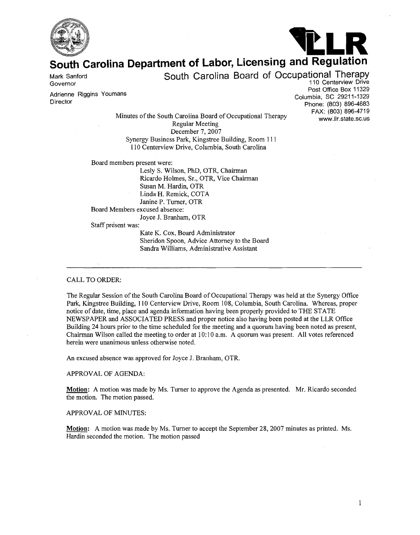



# **South Carolina Department of Labor, Licensing and Regulation**

Mark Sanford<br>Governor

South Carolina Board of Occupational Therapy<br>110 Centerview Drive

Adrienne Riggins Youmans

Post Office Box 11329<br>Columbia, SC 29211-1329 Phone: (803) 896-4683<br>FAX: (803) 896-4719 www.llr.state.sc.us

Minutes of the South Carolina Board of Occupational Therapy Regular Meeting December 7, 2007 Synergy Business Park, Kingstree Building, Room 11 1 110 Centerview Drive, Columbia, South Carolina

Board members present were:

Lesly S. Wilson, PhD, OTR, Chairman Ricardo Holrnes, Sr., OTR, Vice Chairman Susan M. Hardin, OTR Linda H. Remick, COTA Janine P. Turner, OTR Board Members excused absence: Joyce J. Branham, OTR

Staff present was:

Kate K. Cox, Board Administrator Sheridon Spoon, Advice Attorney to the Board Sandra Williams, Administrative Assistant

#### CALL TO ORDER:

The Regular Session of the South Carolina Board of Occupational Therapy was held at the Synergy Office Park, Kingstree Building, 1 10 Centerview Drive, Room 108, Columbia, South Carolina. Whereas, proper notice of date, time, place and agenda information having been properly provided to THE STATE NEWSPAPER and ASSOCIATED PRESS and proper notice also having been posted at the LLR Office Building 24 hours prior to the time scheduled for the meeting and a quorum having been noted as present, Chairman Wilson called the meeting to order at 10: 10 a.m. A quorum was present. All votes referenced herein were unanimous unless otherwise noted.

An excused absence was approved for Joyce J. Branham, OTR.

## APPROVAL OF AGENDA:

**Motion:** A motion was made by Ms. Turner to approve the Agenda as presented. Mr. Ricardo seconded the motion. The motion passed.

#### APPROVAL OF MINUTES:

**Motion:** A motion was made by Ms. Turner to accept the September 28, 2007 minutes as printed. Ms. Hardin seconded the motion. The motion passed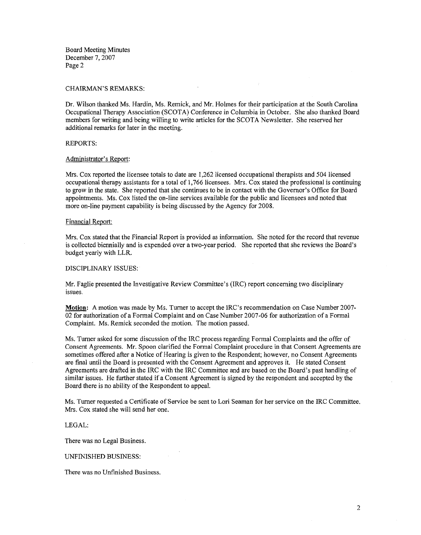Board Meeting Minutes December 7, 2007 Page 2

#### CHAIRMAN'S REMARKS:

Dr. Wilson thanked Ms. Hardin, Ms. Remick, and Mr. Holmes for their participation at the South Carolina Occupational Therapy Association (SCOTA) Conference in Columbia in October. She also thanked Board members for writing and being willing to write articles for the SCOTA Newsletter. She reserved her additional remarks for later in the meeting.

#### REPORTS:

#### Administrator's Report:

Mrs. Cox reported the licensee totals to date are 1,262 licensed occupational therapists and 504 licensed occupational therapy assistants for a total of 1,766 licensees. Mrs. Cox stated the professional is continuing to grow in the state. She reported that she continues to be in contact with the Governor's Office for Board appointments. Ms. Cox listed the on-line services available for the public and licensees and noted that more on-line payment capability is being discussed by the Agency for 2008.

## Financial Report:

Mrs. Cox stated that the Financial Report is provided as information. She noted for the record that revenue is collected biennially and is expended over a two-year period. She reported that she reviews the Board's budget yearly with LLR.

## DISCIPLINARY ISSUES:

Mr. Faglie presented the Investigative Review Committee's (IRC) report concerning two disciplinary issues.

**Motion:** A motion was made by Ms. Turner to accept the IRC's recommendation on Case Number 2007- 02 for authorization of a Formal Complaint and on Case Number 2007-06 for authorization of a Formal Complaint. Ms. Remick seconded the motion. The motion passed.

Ms. Turner asked for some discussion of the IRC process regarding Formal Complaints and the offer of Consent Agreements. Mr. Spoon clarified the Formal Complaint procedure in that Consent Agreements are sometimes offered after a Notice of Hearing is given to the Respondent; however, no Consent Agreements are final until the Board is presented with the Consent Agreement and approves it. He stated Consent Agreements are drafied in the IRC with the IRC Committee and are based on the Board's past handling of similar issues. He further stated if a Consent Agreement is signed by the respondent and accepted by the Board there is no ability of the Respondent to appeal.

Ms. Turner requested a Certificate of Service be sent to Lori Seaman for her service on the IRC Committee. Mrs. Cox stated she will send her one.

#### LEGAL:

There was no Legal Business.

#### UNFINISHED BUSINESS:

There was no Unfinished Business.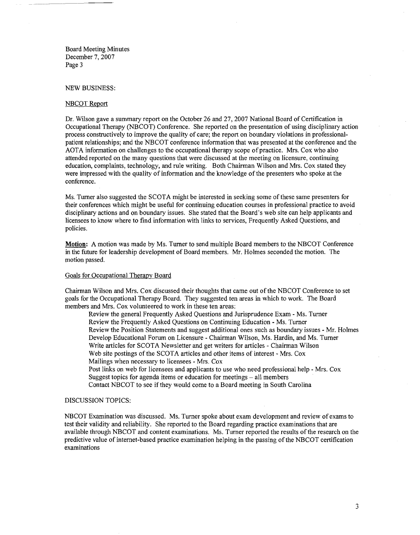Board Meeting Minutes December 7, 2007 Page **3** 

#### NEW BUSINESS:

#### NBCOT Report

Dr. Wilson gave a summary report on the October 26 and 27,2007 National Board of Certification in Occupational Therapy (NBCOT) Conference. She reported on the presentation of using disciplinary action process constructively to improve the quality of care; the report on boundary violations in professionalpatient relationships; and the NBCOT conference information that was presented at the conference and the AOTA information on challenges to the occupational therapy scope of practice. Mrs. Cox who also attended reported on the many questions that were discussed at the meeting on licensure, continuing education, complaints, technology, and rule writing. Both Chairman Wilson and Mrs. Cox stated they were impressed with the quality of information and the knowledge of the presenters who spoke at the conference.

Ms. Turner also suggested the SCOTA might be interested in seeking some of these same presenters for their conferences which might be useful for continuing education courses in professional practice to avoid disciplinary actions and on boundary issues. She stated that the Board's web site can help applicants and licensees to know where to find information with links to services, Frequently Asked Questions, and policies.

**Motion:** A motion was made by Ms. Turner to send multiple Board members to the NBCOT Conference in the future for leadership development of Board members. Mr. Holmes seconded the motion. The motion passed.

#### Goals for Occupational Therapy Board

Chairman Wilson and Mrs. Cox discussed their thoughts that came out of the NBCOT Conference to set goals for the Occupational Therapy Board. They suggested ten areas in which to work. The Board members and Mrs. Cox volunteered to work in these ten areas:

Review the general Frequently Asked Questions and Jurisprudence Exam - Ms. Turner Review the Frequently Asked Questions on Continuing Education - Ms. Turner Review the Position Statements and suggest additional ones such as boundary issues - Mr. Holmes Develop Educational Forum on Licenswe - Chairman Wilson, Ms. Hardin, and Ms. Turner Write articles for SCOTA Newsletter and get writers for articles - Chairman Wilson Web site postings of the SCOTA articles and other items of interest - Mrs. Cox Mailings when necessary to licensees - Mrs. Cox Post links on web for licensees and applicants to use who need professional help - Mrs. Cox Suggest topics for agenda items or education for meetings  $-$  all members Contact NBCOT to see if they would come to a Board meeting in South Carolina

#### DISCUSSION TOPICS:

NBCOT Examination was discussed. Ms. Turner spoke about exam development and review of exams to test their validity and reliability. She reported to the Board regarding practice examinations that are available through NBCOT and content examinations. Ms. Turner reported the results of the research on the predictive value of internet-based practice examination helping in the passing of the NBCOT certification examinations